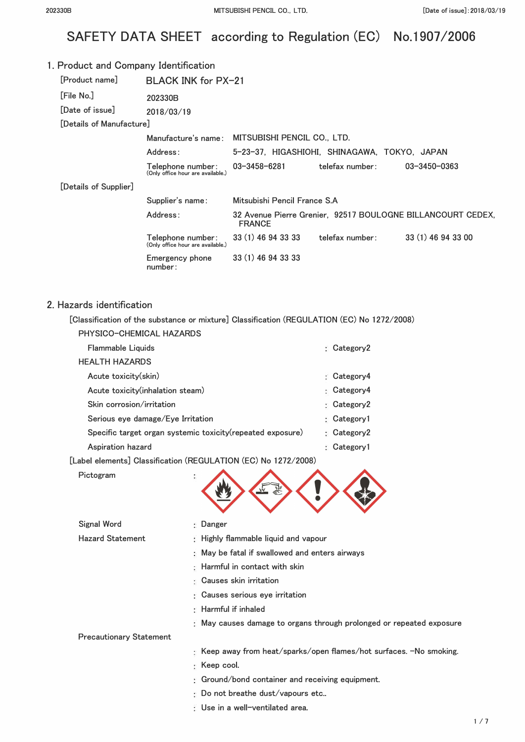# SAFETY DATA SHEET according to Regulation (EC) No.1907/2006

| 1. Product and Company Identification |                                                        |                                                 |                                              |                                                             |
|---------------------------------------|--------------------------------------------------------|-------------------------------------------------|----------------------------------------------|-------------------------------------------------------------|
| [Product name]                        | BLACK INK for PX-21                                    |                                                 |                                              |                                                             |
| [File No.]                            | 202330B                                                |                                                 |                                              |                                                             |
| Date of issuel                        | 2018/03/19                                             |                                                 |                                              |                                                             |
| [Details of Manufacture]              |                                                        |                                                 |                                              |                                                             |
|                                       |                                                        | Manufacture's name: MITSUBISHI PENCIL CO., LTD. |                                              |                                                             |
|                                       | Address:                                               |                                                 | 5-23-37, HIGASHIOHI, SHINAGAWA, TOKYO, JAPAN |                                                             |
|                                       | Telephone number:<br>(Only office hour are available.) | $03 - 3458 - 6281$                              | telefax number:                              | 03-3450-0363                                                |
| [Details of Supplier]                 |                                                        |                                                 |                                              |                                                             |
|                                       | Supplier's name:                                       | Mitsubishi Pencil France S.A.                   |                                              |                                                             |
|                                       | Address:                                               | <b>FRANCE</b>                                   |                                              | 32 Avenue Pierre Grenier, 92517 BOULOGNE BILLANCOURT CEDEX, |
|                                       | Telephone number:<br>(Only office hour are available.) | 33 (1) 46 94 33 33                              | telefax number:                              | 33 (1) 46 94 33 00                                          |
|                                       | Emergency phone<br>number:                             | 33 (1) 46 94 33 33                              |                                              |                                                             |

#### 2. Hazards identification

**[Classification of the substance or mixture] Classification (REGULATION (EC) No 1272/2008)** 

| PHYSICO-CHEMICAL HAZARDS                                    |                         |
|-------------------------------------------------------------|-------------------------|
| Flammable Liquids                                           | $\therefore$ Category2  |
| <b>HEALTH HAZARDS</b>                                       |                         |
| Acute toxicity(skin)                                        | Category4<br>s.         |
| Acute toxicity(inhalation steam)                            | Category4               |
| Skin corrosion/irritation                                   | $\therefore$ Category2  |
| Serious eye damage/Eye Irritation                           | $\therefore$ Category 1 |
| Specific target organ systemic toxicity (repeated exposure) | $\therefore$ Category2  |
| Aspiration hazard                                           | : Category1             |

**[Label elements] Classification (REGULATION (EC) No 1272/2008)** 

**Pictogram** 



| <b>Signal Word</b>             |                                 | : Danger                                                             |  |
|--------------------------------|---------------------------------|----------------------------------------------------------------------|--|
| <b>Hazard Statement</b>        |                                 | : Highly flammable liquid and vapour                                 |  |
|                                |                                 | : May be fatal if swallowed and enters airways                       |  |
|                                |                                 | : Harmful in contact with skin                                       |  |
|                                |                                 | $\epsilon$ Causes skin irritation                                    |  |
|                                | : Causes serious eye irritation |                                                                      |  |
|                                | : Harmful if inhaled            |                                                                      |  |
|                                |                                 | : May causes damage to organs through prolonged or repeated exposure |  |
| <b>Precautionary Statement</b> |                                 |                                                                      |  |
|                                |                                 | : Keep away from heat/sparks/open flames/hot surfaces. -No smoking.  |  |
|                                |                                 | $\colon$ Keep cool.                                                  |  |
|                                |                                 | Cround/bond container and receiving equipment.                       |  |
|                                |                                 | $\therefore$ Do not breathe dust/vapours etc                         |  |

**Use in a well-ventilated area.**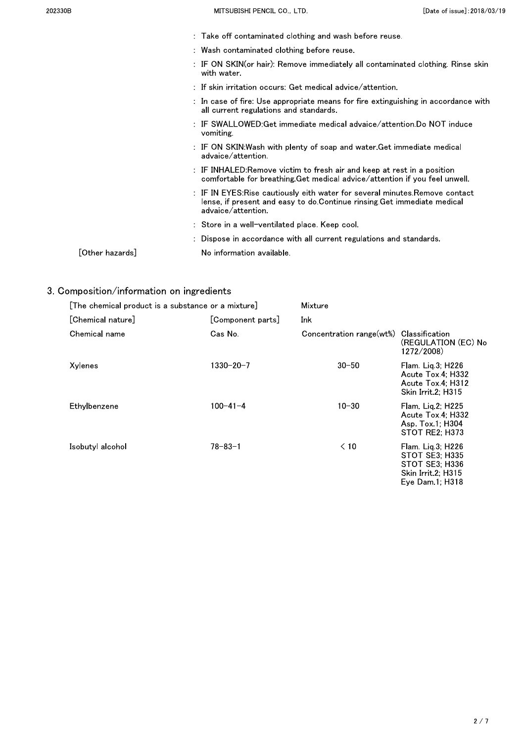- : Take off contaminated clothing and wash before reuse.
- : Wash contaminated clothing before reuse.
- : IF ON SKIN(or hair): Remove immediately all contaminated clothing, Rinse skin with water.
- : If skin irritation occurs: Get medical advice/attention.
- : In case of fire: Use appropriate means for fire extinguishing in accordance with all current regulations and standards.
- IF SWALLOWED: Get immediate medical advaice/attention. Do NOT induce  $\overline{\phantom{a}}$ vomiting.
- IF ON SKIN: Wash with plenty of soap and water Get immediate medical  $\Box$ advaice/attention.
- : IF INHALED:Remove victim to fresh air and keep at rest in a position comfortable for breathing Get medical advice/attention if you feel unwell.
- : IF IN EYES: Rise cautiously eith water for several minutes. Remove contact lense, if present and easy to do Continue rinsing Get immediate medical advaice/attention.
- : Store in a well-ventilated place. Keep cool.
- : Dispose in accordance with all current regulations and standards.
- [Other hazards] No information available.

# 3. Composition/information on ingredients

| [The chemical product is a substance or a mixture] |                   | Mixture                  |                                                                                                             |  |
|----------------------------------------------------|-------------------|--------------------------|-------------------------------------------------------------------------------------------------------------|--|
| [Chemical nature]                                  | [Component parts] | Ink                      |                                                                                                             |  |
| Chemical name                                      | Cas No.           | Concentration range(wt%) | Classification<br>(REGULATION (EC) No<br>1272/2008)                                                         |  |
| Xylenes                                            | 1330-20-7         | $30 - 50$                | Flam. Lig.3; H226<br>Acute Tox 4: H332<br>Acute Tox 4: H312<br>Skin Irrit 2; H315                           |  |
| Ethylbenzene                                       | $100 - 41 - 4$    | $10 - 30$                | Flam. Lig $2$ ; H $225$<br>Acute Tox 4: H332<br>Asp. Tox 1; H304<br>STOT RE2: H373                          |  |
| Isobutyl alcohol                                   | 78-83-1           | $\leq 10$                | Flam. Lig.3; H226<br>STOT SE3; H335<br><b>STOT SE3; H336</b><br>Skin Irrit 2; H315<br>Eye Dam $1$ ; H $318$ |  |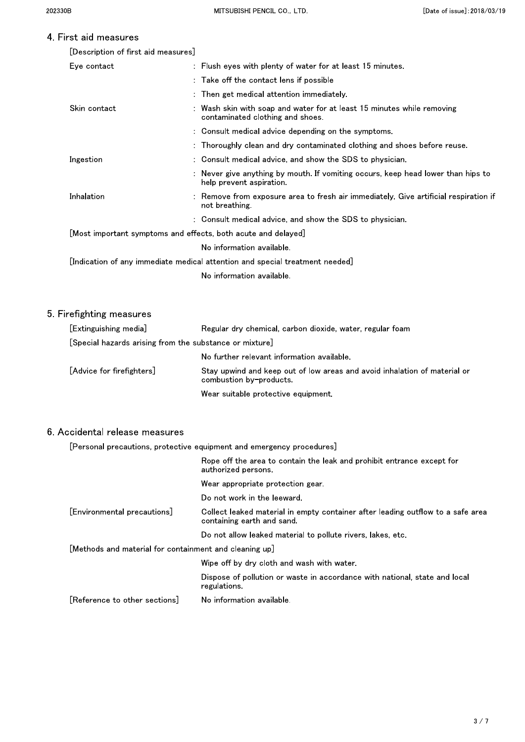# 4 First aid measures

| [Description of first aid measures] |  |  |  |
|-------------------------------------|--|--|--|
|-------------------------------------|--|--|--|

| Eye contact                                                                  | : Flush eyes with plenty of water for at least 15 minutes.                                                   |  |  |
|------------------------------------------------------------------------------|--------------------------------------------------------------------------------------------------------------|--|--|
|                                                                              | : Take off the contact lens if possible                                                                      |  |  |
|                                                                              | : Then get medical attention immediately.                                                                    |  |  |
| Skin contact                                                                 | : Wash skin with soap and water for at least 15 minutes while removing<br>contaminated clothing and shoes.   |  |  |
|                                                                              | : Consult medical advice depending on the symptoms.                                                          |  |  |
|                                                                              | : Thoroughly clean and dry contaminated clothing and shoes before reuse.                                     |  |  |
| Ingestion                                                                    | : Consult medical advice, and show the SDS to physician.                                                     |  |  |
|                                                                              | : Never give anything by mouth. If vomiting occurs, keep head lower than hips to<br>help prevent aspiration. |  |  |
| Inhalation                                                                   | : Remove from exposure area to fresh air immediately. Give artificial respiration if<br>not breathing        |  |  |
|                                                                              | : Consult medical advice, and show the SDS to physician.                                                     |  |  |
|                                                                              | [Most important symptoms and effects, both acute and delayed]                                                |  |  |
|                                                                              | No information available.                                                                                    |  |  |
| [Indication of any immediate medical attention and special treatment needed] |                                                                                                              |  |  |
|                                                                              | No information available.                                                                                    |  |  |
|                                                                              |                                                                                                              |  |  |

## 5. Firefighting measures

| [Extinguishing media]                                   | Regular dry chemical, carbon dioxide, water, regular foam                                            |
|---------------------------------------------------------|------------------------------------------------------------------------------------------------------|
| [Special hazards arising from the substance or mixture] |                                                                                                      |
|                                                         | No further relevant information available.                                                           |
| [Advice for firefighters]                               | Stay upwind and keep out of low areas and avoid inhalation of material or<br>combustion by-products. |
|                                                         | Wear suitable protective equipment.                                                                  |

### 6. Accidental release measures

[Personal precautions, protective equipment and emergency procedures]

|                                                        | Rope off the area to contain the leak and prohibit entrance except for<br>authorized persons                  |  |
|--------------------------------------------------------|---------------------------------------------------------------------------------------------------------------|--|
|                                                        | Wear appropriate protection gear.                                                                             |  |
|                                                        | Do not work in the leeward.                                                                                   |  |
| [Environmental precautions]                            | Collect leaked material in empty container after leading outflow to a safe area<br>containing earth and sand. |  |
|                                                        | Do not allow leaked material to pollute rivers, lakes, etc.                                                   |  |
| [Methods and material for containment and cleaning up] |                                                                                                               |  |
|                                                        | Wipe off by dry cloth and wash with water.                                                                    |  |
|                                                        | Dispose of pollution or waste in accordance with national, state and local<br>regulations.                    |  |
| [Reference to other sections]                          | No information available.                                                                                     |  |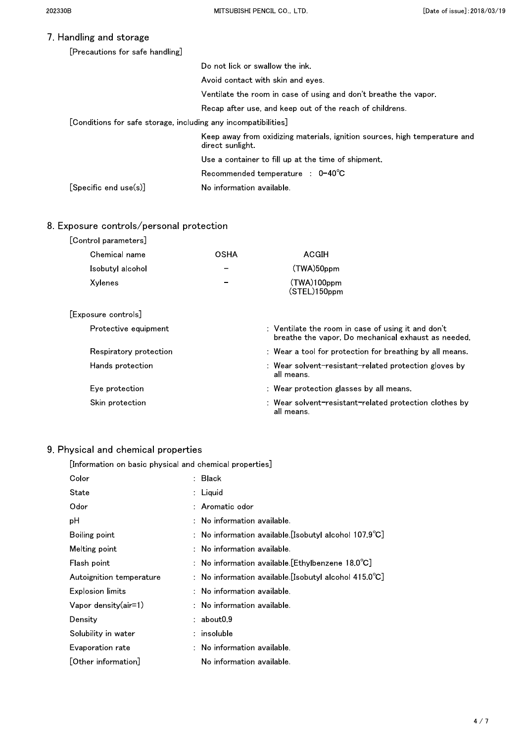### 7. Handling and storage

|                                                                | [Precautions for safe handling]                                  |                                                                                                |
|----------------------------------------------------------------|------------------------------------------------------------------|------------------------------------------------------------------------------------------------|
|                                                                |                                                                  | Do not lick or swallow the ink.                                                                |
|                                                                |                                                                  | Avoid contact with skin and eves.                                                              |
|                                                                |                                                                  | Ventilate the room in case of using and don't breathe the vapor.                               |
|                                                                |                                                                  | Recap after use, and keep out of the reach of childrens.                                       |
| [Conditions for safe storage, including any incompatibilities] |                                                                  |                                                                                                |
|                                                                |                                                                  | Keep away from oxidizing materials, ignition sources, high temperature and<br>direct sunlight. |
|                                                                |                                                                  | Use a container to fill up at the time of shipment.                                            |
|                                                                |                                                                  | Recommended temperature : $0-40^{\circ}$ C                                                     |
|                                                                | $\lceil \mathsf{S}\mathsf{pecific}$ end use $\mathsf{(s)}\rceil$ | No information available.                                                                      |
|                                                                |                                                                  |                                                                                                |

### 8. Exposure controls/personal protection

| [Control parameters]   |             |                                                                                                           |
|------------------------|-------------|-----------------------------------------------------------------------------------------------------------|
| Chemical name          | <b>OSHA</b> | ACGIH                                                                                                     |
| Isobutyl alcohol       |             | (TWA)50ppm                                                                                                |
| Xylenes                |             | (TWA)100ppm<br>(STEL)150ppm                                                                               |
| Exposure controls      |             |                                                                                                           |
| Protective equipment   |             | : Ventilate the room in case of using it and don't<br>breathe the vapor. Do mechanical exhaust as needed. |
| Respiratory protection |             | : Wear a tool for protection for breathing by all means.                                                  |
| Hands protection       |             | : Wear solvent-resistant-related protection gloves by<br>all means.                                       |
| Eye protection         |             | : Wear protection glasses by all means.                                                                   |

Skin protection

: Wear solvent-resistant-related protection clothes by all means.

# 9. Physical and chemical properties

[Information on basic physical and chemical properties]

| Color                      | : Black                                                          |
|----------------------------|------------------------------------------------------------------|
| State                      | : Liquid                                                         |
| Odor                       | : Aromatic odor                                                  |
| рH                         | $:$ No information available.                                    |
| Boiling point              | : No information available [Isobutyl alcohol 107.9 $^{\circ}$ C] |
| Melting point              | $:$ No information available.                                    |
| Flash point                | : No information available [Ethylbenzene 18.0 $^{\circ}$ C]      |
| Autoignition temperature   | : No information available [Isobutyl alcohol $415.0^{\circ}$ C]  |
| <b>Explosion limits</b>    | $:$ No information available.                                    |
| $V$ apor density $(air=1)$ | : No information available.                                      |
| Density                    | $:$ about $0.9$                                                  |
| Solubility in water        | : insoluble                                                      |
| Evaporation rate           | $:$ No information available.                                    |
| [Other information]        | No information available.                                        |
|                            |                                                                  |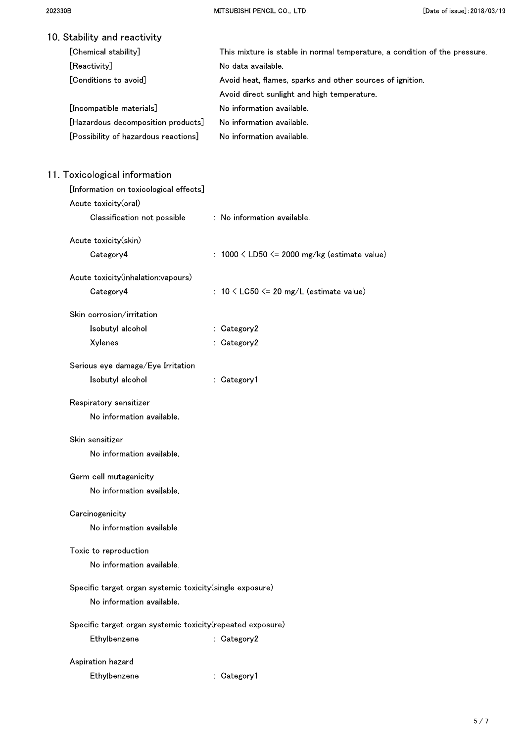| 10. Stability and reactivity                                |                                                                            |
|-------------------------------------------------------------|----------------------------------------------------------------------------|
| [Chemical stability]                                        | This mixture is stable in normal temperature, a condition of the pressure. |
| [Reactivity]                                                | No data available.                                                         |
| [Conditions to avoid]                                       | Avoid heat, flames, sparks and other sources of ignition.                  |
|                                                             | Avoid direct sunlight and high temperature.                                |
| [Incompatible materials]                                    | No information available.                                                  |
| [Hazardous decomposition products]                          | No information available.                                                  |
| [Possibility of hazardous reactions]                        | No information available.                                                  |
| 11. Toxicological information                               |                                                                            |
| [Information on toxicological effects]                      |                                                                            |
| Acute toxicity(oral)                                        |                                                                            |
| Classification not possible                                 | : No information available.                                                |
| Acute toxicity(skin)                                        |                                                                            |
| Category4                                                   | : $1000 \leq LDS0 \leq 2000$ mg/kg (estimate value)                        |
| Acute toxicity(inhalation:vapours)                          |                                                                            |
| Category4                                                   | : $10 \lt$ LC50 $\lt$ 20 mg/L (estimate value)                             |
| Skin corrosion/irritation                                   |                                                                            |
| Isobutyl alcohol                                            | : Category2                                                                |
| Xylenes                                                     | : Category2                                                                |
| Serious eye damage/Eye Irritation                           |                                                                            |
| Isobutyl alcohol                                            | : Category1                                                                |
| Respiratory sensitizer                                      |                                                                            |
| No information available.                                   |                                                                            |
| Skin sensitizer                                             |                                                                            |
| No information available.                                   |                                                                            |
| Germ cell mutagenicity                                      |                                                                            |
| No information available.                                   |                                                                            |
| Carcinogenicity                                             |                                                                            |
| No information available.                                   |                                                                            |
| Toxic to reproduction                                       |                                                                            |
| No information available.                                   |                                                                            |
| Specific target organ systemic toxicity(single exposure)    |                                                                            |
| No information available.                                   |                                                                            |
| Specific target organ systemic toxicity (repeated exposure) |                                                                            |
| Ethylbenzene                                                | : Category2                                                                |
| Aspiration hazard                                           |                                                                            |
| Ethylbenzene                                                | : Category1                                                                |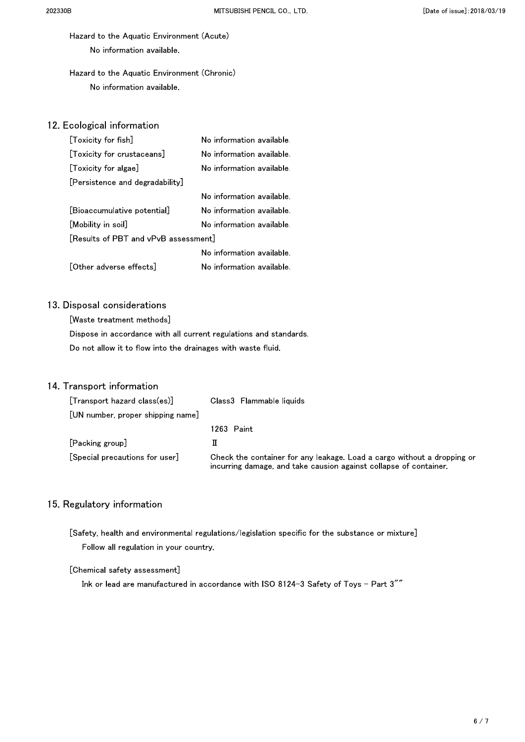Hazard to the Aquatic Environment (Acute) No information available.

## Hazard to the Aquatic Environment (Chronic) No information available.

### 12. Ecological information

| [Toxicity for fish]                  | No information available. |
|--------------------------------------|---------------------------|
| [Toxicity for crustaceans]           | No information available. |
| [Toxicity for algae]                 | No information available. |
| [Persistence and degradability]      |                           |
|                                      | No information available. |
| [Bioaccumulative potential]          | No information available. |
| [Mobility in soil]                   | No information available. |
| [Results of PBT and vPvB assessment] |                           |
|                                      | No information available  |
| [Other adverse effects]              | No information available. |

## 13. Disposal considerations

[Waste treatment methods] Dispose in accordance with all current regulations and standards. Do not allow it to flow into the drainages with waste fluid.

### 14. Transport information

| [Transport hazard class(es)]      | Class3 Flammable liquids                                                                                                                     |
|-----------------------------------|----------------------------------------------------------------------------------------------------------------------------------------------|
| [UN number, proper shipping name] |                                                                                                                                              |
|                                   | 1263 Paint                                                                                                                                   |
| [Packing group]                   |                                                                                                                                              |
| [Special precautions for user]    | Check the container for any leakage. Load a cargo without a dropping or<br>incurring damage, and take causion against collapse of container. |

### 15. Regulatory information

[Safety, health and environmental regulations/legislation specific for the substance or mixture] Follow all regulation in your country.

#### [Chemical safety assessment]

Ink or lead are manufactured in accordance with ISO 8124-3 Safety of Toys - Part 3""